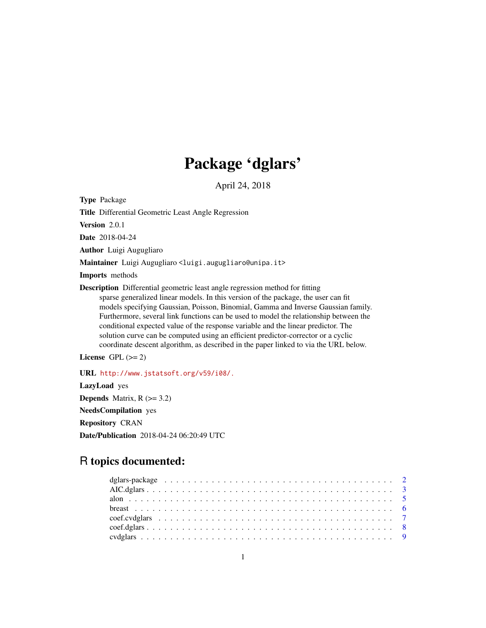# Package 'dglars'

April 24, 2018

<span id="page-0-0"></span>Type Package

Title Differential Geometric Least Angle Regression

Version 2.0.1

Date 2018-04-24

Author Luigi Augugliaro

Maintainer Luigi Augugliaro <luigi.augugliaro@unipa.it>

Imports methods

Description Differential geometric least angle regression method for fitting sparse generalized linear models. In this version of the package, the user can fit models specifying Gaussian, Poisson, Binomial, Gamma and Inverse Gaussian family. Furthermore, several link functions can be used to model the relationship between the conditional expected value of the response variable and the linear predictor. The solution curve can be computed using an efficient predictor-corrector or a cyclic coordinate descent algorithm, as described in the paper linked to via the URL below.

License GPL  $(>= 2)$ 

URL <http://www.jstatsoft.org/v59/i08/.> LazyLoad yes **Depends** Matrix,  $R$  ( $>= 3.2$ ) NeedsCompilation yes Repository CRAN Date/Publication 2018-04-24 06:20:49 UTC

# R topics documented: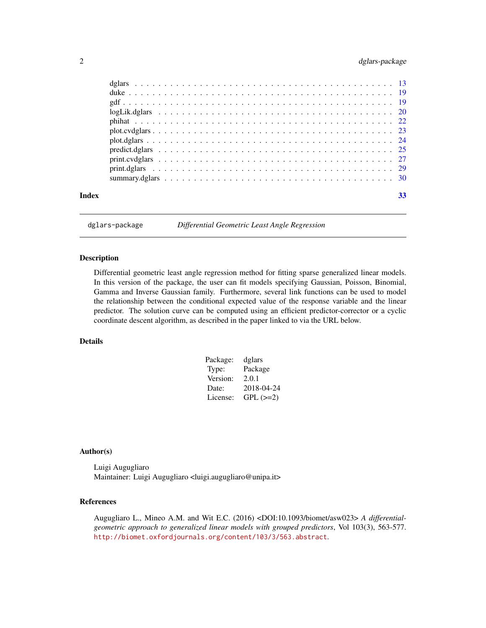# <span id="page-1-0"></span>2 dglars-package

| Index |  | 33 |
|-------|--|----|
|       |  |    |

dglars-package *Differential Geometric Least Angle Regression*

# Description

Differential geometric least angle regression method for fitting sparse generalized linear models. In this version of the package, the user can fit models specifying Gaussian, Poisson, Binomial, Gamma and Inverse Gaussian family. Furthermore, several link functions can be used to model the relationship between the conditional expected value of the response variable and the linear predictor. The solution curve can be computed using an efficient predictor-corrector or a cyclic coordinate descent algorithm, as described in the paper linked to via the URL below.

# Details

| Package: | dglars     |
|----------|------------|
| Type:    | Package    |
| Version: | 2.0.1      |
| Date:    | 2018-04-24 |
| License: | $GPL (=2)$ |

# Author(s)

Luigi Augugliaro Maintainer: Luigi Augugliaro <luigi.augugliaro@unipa.it>

# References

Augugliaro L., Mineo A.M. and Wit E.C. (2016) <DOI:10.1093/biomet/asw023> *A differentialgeometric approach to generalized linear models with grouped predictors*, Vol 103(3), 563-577. <http://biomet.oxfordjournals.org/content/103/3/563.abstract>.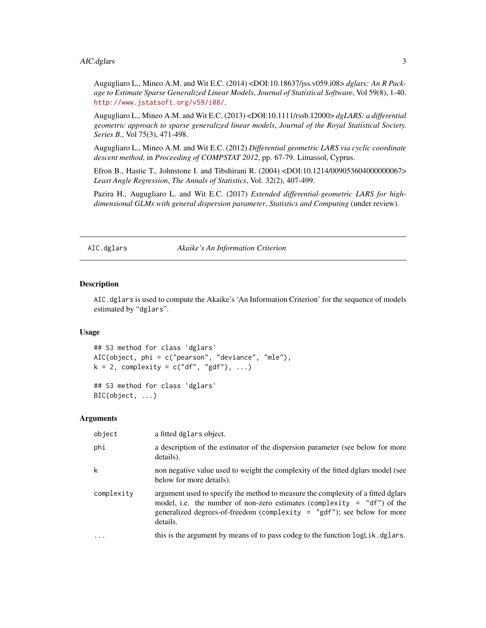<span id="page-2-0"></span>Augugliaro L., Mineo A.M. and Wit E.C. (2014) <DOI:10.18637/jss.v059.i08> *dglars: An R Package to Estimate Sparse Generalized Linear Models*, *Journal of Statistical Software*, Vol 59(8), 1-40. <http://www.jstatsoft.org/v59/i08/>.

Augugliaro L., Mineo A.M. and Wit E.C. (2013) <DOI:10.1111/rssb.12000> *dgLARS: a differential geometric approach to sparse generalized linear models*, *Journal of the Royal Statistical Society. Series B.*, Vol 75(3), 471-498.

Augugliaro L., Mineo A.M. and Wit E.C. (2012) *Differential geometric LARS via cyclic coordinate descent method*, in *Proceeding of COMPSTAT 2012*, pp. 67-79. Limassol, Cyprus.

Efron B., Hastie T., Johnstone I. and Tibshirani R. (2004) <DOI:10.1214/009053604000000067> *Least Angle Regression*, *The Annals of Statistics*, Vol. 32(2), 407-499.

Pazira H., Augugliaro L. and Wit E.C. (2017) *Extended differential-geometric LARS for highdimensional GLMs with general dispersion parameter*, *Statistics and Computing* (under review).

<span id="page-2-1"></span>AIC.dglars *Akaike's An Information Criterion*

#### <span id="page-2-2"></span>Description

AIC.dglars is used to compute the Akaike's 'An Information Criterion' for the sequence of models estimated by "dglars".

#### Usage

```
## S3 method for class 'dglars'
AIC(object, phi = c("pearson", "deviance", "mle"),
k = 2, complexity = c("df", "gdf"), ...)
```
## S3 method for class 'dglars' BIC(object, ...)

#### Arguments

| object     | a fitted dglars object.                                                                                                                                                                                                                                 |
|------------|---------------------------------------------------------------------------------------------------------------------------------------------------------------------------------------------------------------------------------------------------------|
| phi        | a description of the estimator of the dispersion parameter (see below for more<br>details).                                                                                                                                                             |
| k          | non negative value used to weight the complexity of the fitted dglars model (see<br>below for more details).                                                                                                                                            |
| complexity | argument used to specify the method to measure the complexity of a fitted dglars<br>model, i.e. the number of non-zero estimates (complexity = $"df")$ of the<br>generalized degrees-of-freedom (complexity = $"gdf"$ ); see below for more<br>details. |
| $\ddots$   | this is the argument by means of to pass codeg to the function $logLik.dglars$ .                                                                                                                                                                        |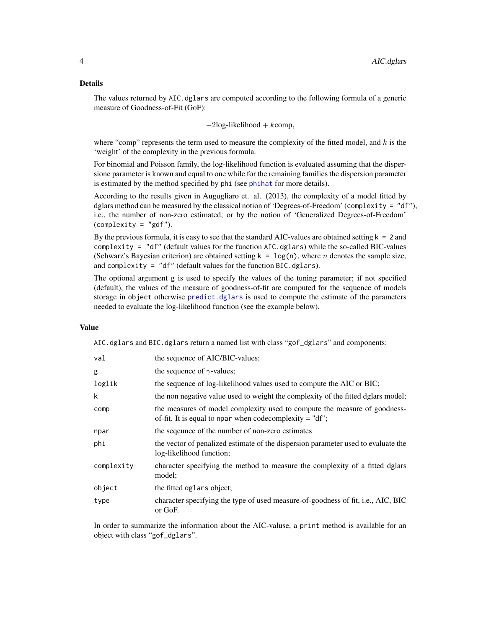# <span id="page-3-0"></span>Details

The values returned by AIC.dglars are computed according to the following formula of a generic measure of Goodness-of-Fit (GoF):

 $-2\log-1$ ikelihood + kcomp,

where "comp" represents the term used to measure the complexity of the fitted model, and  $k$  is the 'weight' of the complexity in the previous formula.

For binomial and Poisson family, the log-likelihood function is evaluated assuming that the dispersione parameter is known and equal to one while for the remaining families the dispersion parameter is estimated by the method specified by phi (see [phihat](#page-21-1) for more details).

According to the results given in Augugliaro et. al. (2013), the complexity of a model fitted by dglars method can be measured by the classical notion of 'Degrees-of-Freedom' (complexity = "df"), i.e., the number of non-zero estimated, or by the notion of 'Generalized Degrees-of-Freedom'  $(complexity = "gdf").$ 

By the previous formula, it is easy to see that the standard AIC-values are obtained setting  $k = 2$  and complexity = "df" (default values for the function  $AIC$ .dglars) while the so-called BIC-values (Schwarz's Bayesian criterion) are obtained setting  $k = \log(n)$ , where *n* denotes the sample size, and complexity = "df" (default values for the function BIC.dglars).

The optional argument g is used to specify the values of the tuning parameter; if not specified (default), the values of the measure of goodness-of-fit are computed for the sequence of models storage in object otherwise [predict.dglars](#page-24-1) is used to compute the estimate of the parameters needed to evaluate the log-likelihood function (see the example below).

# Value

AIC.dglars and BIC.dglars return a named list with class "gof\_dglars" and components:

| val        | the sequence of AIC/BIC-values;                                                                                                        |
|------------|----------------------------------------------------------------------------------------------------------------------------------------|
| g          | the sequence of $\gamma$ -values;                                                                                                      |
| loglik     | the sequence of log-likelihood values used to compute the AIC or BIC;                                                                  |
| k          | the non negative value used to weight the complexity of the fitted dglars model;                                                       |
| comp       | the measures of model complexity used to compute the measure of goodness-<br>of-fit. It is equal to npar when codecomplexity $=$ "df"; |
| npar       | the sequence of the number of non-zero estimates                                                                                       |
| phi        | the vector of penalized estimate of the dispersion parameter used to evaluate the<br>log-likelihood function;                          |
| complexity | character specifying the method to measure the complexity of a fitted dglars<br>model;                                                 |
| object     | the fitted dglars object;                                                                                                              |
| type       | character specifying the type of used measure-of-goodness of fit, i.e., AIC, BIC<br>or GoF.                                            |

In order to summarize the information about the AIC-valuse, a print method is available for an object with class "gof\_dglars".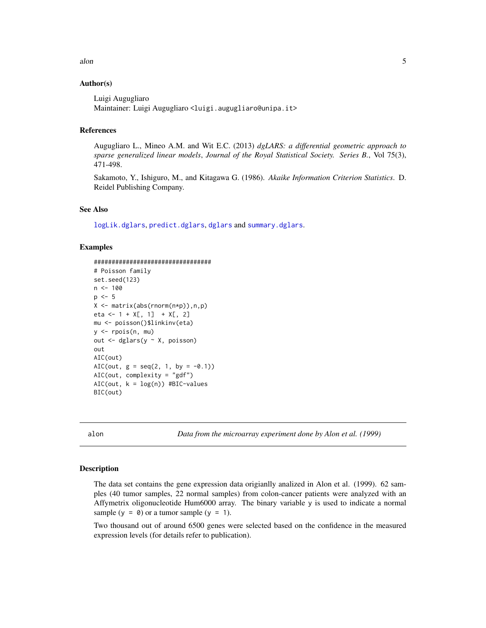#### <span id="page-4-0"></span> $\lambda$ alon 5

# Author(s)

Luigi Augugliaro Maintainer: Luigi Augugliaro <luigi.augugliaro@unipa.it>

# References

Augugliaro L., Mineo A.M. and Wit E.C. (2013) *dgLARS: a differential geometric approach to sparse generalized linear models*, *Journal of the Royal Statistical Society. Series B.*, Vol 75(3), 471-498.

Sakamoto, Y., Ishiguro, M., and Kitagawa G. (1986). *Akaike Information Criterion Statistics*. D. Reidel Publishing Company.

# See Also

[logLik.dglars](#page-19-1), [predict.dglars](#page-24-1), [dglars](#page-12-1) and [summary.dglars](#page-29-1).

#### Examples

```
#################################
# Poisson family
set.seed(123)
n < - 100p \le -5X <- matrix(abs(rnorm(n*p)),n,p)
eta <- 1 + X[, 1] + X[, 2]mu <- poisson()$linkinv(eta)
y <- rpois(n, mu)
out <- dglars(y ~ X, poisson)
out
AIC(out)
AIC(out, g = \text{seq}(2, 1, \text{ by } = -0.1))
AIC(out, complexity = "gdf")
AIC(out, k = log(n)) #BIC-values
BIC(out)
```
alon *Data from the microarray experiment done by Alon et al. (1999)*

#### Description

The data set contains the gene expression data origianlly analized in Alon et al. (1999). 62 samples (40 tumor samples, 22 normal samples) from colon-cancer patients were analyzed with an Affymetrix oligonucleotide Hum6000 array. The binary variable y is used to indicate a normal sample  $(y = 0)$  or a tumor sample  $(y = 1)$ .

Two thousand out of around 6500 genes were selected based on the confidence in the measured expression levels (for details refer to publication).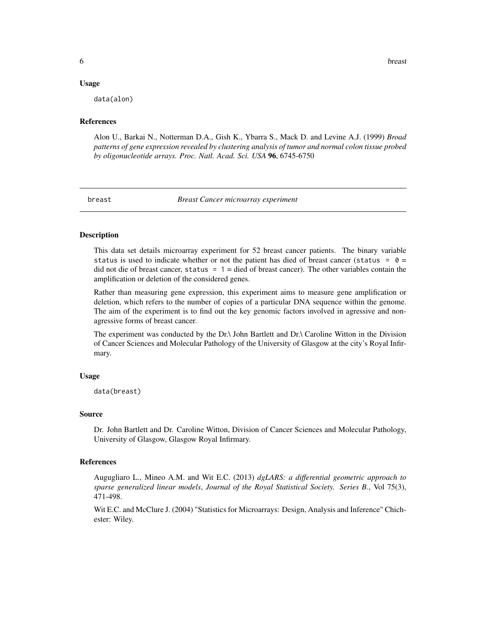#### <span id="page-5-0"></span>Usage

data(alon)

# References

Alon U., Barkai N., Notterman D.A., Gish K., Ybarra S., Mack D. and Levine A.J. (1999) *Broad patterns of gene expression revealed by clustering analysis of tumor and normal colon tissue probed by oligonucleotide arrays. Proc. Natl. Acad. Sci. USA* 96, 6745-6750

#### breast *Breast Cancer microarray experiment*

#### Description

This data set details microarray experiment for 52 breast cancer patients. The binary variable status is used to indicate whether or not the patient has died of breast cancer (status =  $0 =$ did not die of breast cancer, status =  $1 =$  died of breast cancer). The other variables contain the amplification or deletion of the considered genes.

Rather than measuring gene expression, this experiment aims to measure gene amplification or deletion, which refers to the number of copies of a particular DNA sequence within the genome. The aim of the experiment is to find out the key genomic factors involved in agressive and nonagressive forms of breast cancer.

The experiment was conducted by the Dr.\ John Bartlett and Dr.\ Caroline Witton in the Division of Cancer Sciences and Molecular Pathology of the University of Glasgow at the city's Royal Infirmary.

#### Usage

data(breast)

#### Source

Dr. John Bartlett and Dr. Caroline Witton, Division of Cancer Sciences and Molecular Pathology, University of Glasgow, Glasgow Royal Infirmary.

#### References

Augugliaro L., Mineo A.M. and Wit E.C. (2013) *dgLARS: a differential geometric approach to sparse generalized linear models*, *Journal of the Royal Statistical Society. Series B.*, Vol 75(3), 471-498.

Wit E.C. and McClure J. (2004) "Statistics for Microarrays: Design, Analysis and Inference" Chichester: Wiley.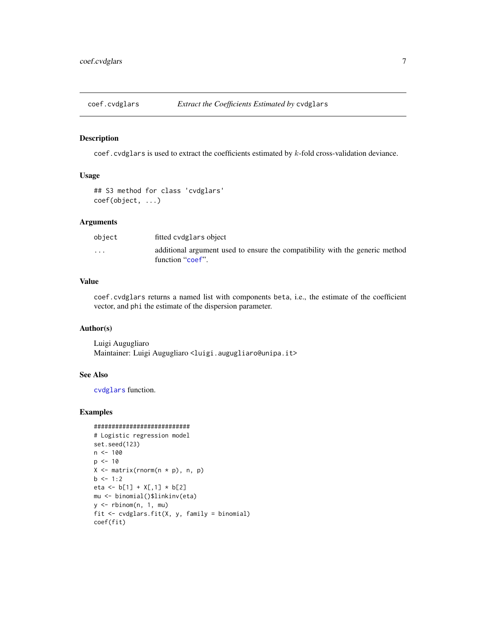<span id="page-6-1"></span><span id="page-6-0"></span>

#### Description

coef.cvdglars is used to extract the coefficients estimated by  $k$ -fold cross-validation deviance.

# Usage

```
## S3 method for class 'cvdglars'
coef(object, ...)
```
# Arguments

| object                  | fitted cydglars object                                                                           |
|-------------------------|--------------------------------------------------------------------------------------------------|
| $\cdot$ $\cdot$ $\cdot$ | additional argument used to ensure the compatibility with the generic method<br>function "coef". |

# Value

coef.cvdglars returns a named list with components beta, i.e., the estimate of the coefficient vector, and phi the estimate of the dispersion parameter.

#### Author(s)

Luigi Augugliaro Maintainer: Luigi Augugliaro <luigi.augugliaro@unipa.it>

# See Also

[cvdglars](#page-8-1) function.

#### Examples

```
###########################
# Logistic regression model
set.seed(123)
n <- 100
p <- 10
X \leftarrow matrix(rnorm(n * p), n, p)b \le -1:2eta <- b[1] + X[,1] * b[2]
mu <- binomial()$linkinv(eta)
y \leftarrow rbinom(n, 1, mu)fit <- cvdglars.fit(X, y, family = binomial)
coef(fit)
```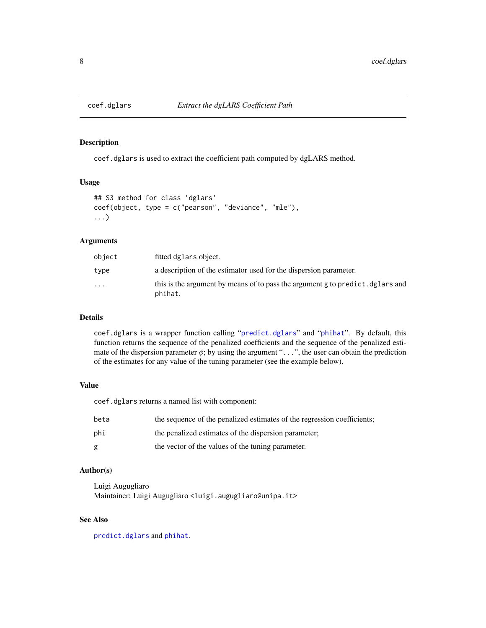<span id="page-7-1"></span><span id="page-7-0"></span>

#### Description

coef.dglars is used to extract the coefficient path computed by dgLARS method.

# Usage

```
## S3 method for class 'dglars'
coef(object, type = c("pearson", "deviance", "mle"),
...)
```
#### Arguments

| object   | fitted dglars object.                                                                     |
|----------|-------------------------------------------------------------------------------------------|
| type     | a description of the estimator used for the dispersion parameter.                         |
| $\cdots$ | this is the argument by means of to pass the argument g to predict. dglars and<br>phihat. |

# Details

coef.dglars is a wrapper function calling "[predict.dglars](#page-24-1)" and "[phihat](#page-21-1)". By default, this function returns the sequence of the penalized coefficients and the sequence of the penalized estimate of the dispersion parameter  $\phi$ ; by using the argument "...", the user can obtain the prediction of the estimates for any value of the tuning parameter (see the example below).

# Value

coef.dglars returns a named list with component:

| beta | the sequence of the penalized estimates of the regression coefficients; |
|------|-------------------------------------------------------------------------|
| phi  | the penalized estimates of the dispersion parameter;                    |
| g    | the vector of the values of the tuning parameter.                       |

# Author(s)

Luigi Augugliaro Maintainer: Luigi Augugliaro <luigi.augugliaro@unipa.it>

# See Also

[predict.dglars](#page-24-1) and [phihat](#page-21-1).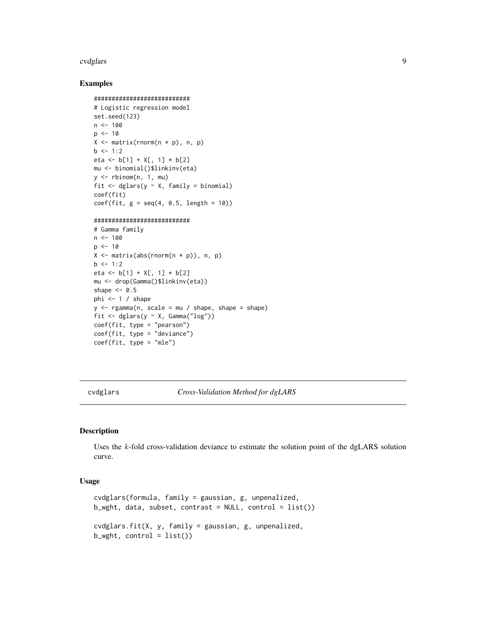#### <span id="page-8-0"></span>cvdglars **9**

#### Examples

```
###########################
# Logistic regression model
set.seed(123)
n < -100p \le -10X \leftarrow matrix(rnorm(n * p), n, p)b \le -1:2eta <- b[1] + X[, 1] * b[2]mu <- binomial()$linkinv(eta)
y \le - rbinom(n, 1, mu)fit \leq dglars(y \sim X, family = binomial)
coef(fit)
coef(fit, g = seq(4, 0.5, length = 10))
```
# ###########################

```
# Gamma family
n < -100p \le -10X \leftarrow matrix(abs(rnorm(n * p)), n, p)b \le -1:2eta <- b[1] + X[, 1] * b[2]
mu <- drop(Gamma()$linkinv(eta))
shape <-0.5phi <-1 / shape
y \leq - \text{rgamma}(n, \text{scale} = mu / \text{shape}, \text{shape} = \text{shape})fit <- dglars(y ~ X, Gamma("log"))
coef(fit, type = "pearson")
coef(fit, type = "deviance")
coef(fit, type = "mle")
```
<span id="page-8-1"></span>cvdglars *Cross-Validation Method for dgLARS*

# Description

Uses the k-fold cross-validation deviance to estimate the solution point of the dgLARS solution curve.

# Usage

```
cvdglars(formula, family = gaussian, g, unpenalized,
b_wght, data, subset, contrast = NULL, control = list()cvdglars.fit(X, y, family = gaussian, g, unpenalized,
b_wght, control = list())
```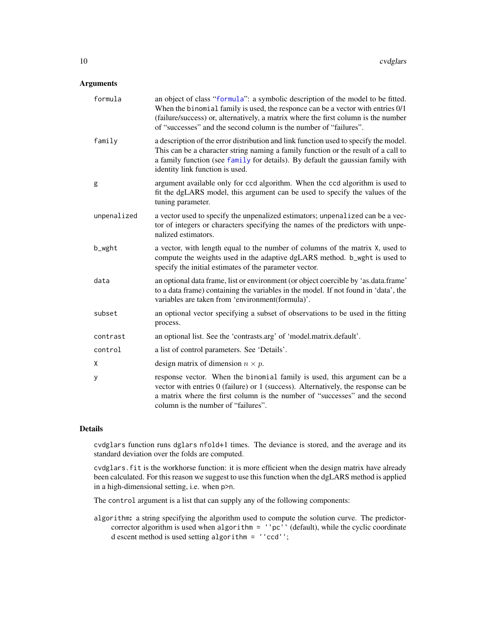# <span id="page-9-0"></span>Arguments

| formula     | an object of class "formula": a symbolic description of the model to be fitted.<br>When the binomial family is used, the responce can be a vector with entries 0/1<br>(failure/success) or, alternatively, a matrix where the first column is the number<br>of "successes" and the second column is the number of "failures". |
|-------------|-------------------------------------------------------------------------------------------------------------------------------------------------------------------------------------------------------------------------------------------------------------------------------------------------------------------------------|
| family      | a description of the error distribution and link function used to specify the model.<br>This can be a character string naming a family function or the result of a call to<br>a family function (see family for details). By default the gaussian family with<br>identity link function is used.                              |
| g           | argument available only for ccd algorithm. When the ccd algorithm is used to<br>fit the dgLARS model, this argument can be used to specify the values of the<br>tuning parameter.                                                                                                                                             |
| unpenalized | a vector used to specify the unpenalized estimators; unpenalized can be a vec-<br>tor of integers or characters specifying the names of the predictors with unpe-<br>nalized estimators.                                                                                                                                      |
| b_wght      | a vector, with length equal to the number of columns of the matrix X, used to<br>compute the weights used in the adaptive dgLARS method. b_wght is used to<br>specify the initial estimates of the parameter vector.                                                                                                          |
| data        | an optional data frame, list or environment (or object coercible by 'as.data.frame'<br>to a data frame) containing the variables in the model. If not found in 'data', the<br>variables are taken from 'environment(formula)'.                                                                                                |
| subset      | an optional vector specifying a subset of observations to be used in the fitting<br>process.                                                                                                                                                                                                                                  |
| contrast    | an optional list. See the 'contrasts.arg' of 'model.matrix.default'.                                                                                                                                                                                                                                                          |
| control     | a list of control parameters. See 'Details'.                                                                                                                                                                                                                                                                                  |
| Χ           | design matrix of dimension $n \times p$ .                                                                                                                                                                                                                                                                                     |
| у           | response vector. When the binomial family is used, this argument can be a<br>vector with entries 0 (failure) or 1 (success). Alternatively, the response can be<br>a matrix where the first column is the number of "successes" and the second<br>column is the number of "failures".                                         |

# Details

cvdglars function runs dglars nfold+1 times. The deviance is stored, and the average and its standard deviation over the folds are computed.

cvdglars.fit is the workhorse function: it is more efficient when the design matrix have already been calculated. For this reason we suggest to use this function when the dgLARS method is applied in a high-dimensional setting, i.e. when p>n.

The control argument is a list that can supply any of the following components:

algorithm: a string specifying the algorithm used to compute the solution curve. The predictorcorrector algorithm is used when algorithm = ''pc'' (default), while the cyclic coordinate d escent method is used setting algorithm = ''ccd'';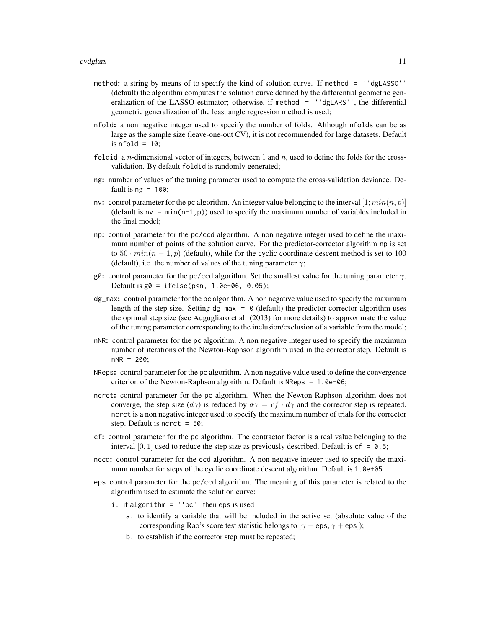- method: a string by means of to specify the kind of solution curve. If method = ''dgLASSO'' (default) the algorithm computes the solution curve defined by the differential geometric generalization of the LASSO estimator; otherwise, if method = 'dgLARS'', the differential geometric generalization of the least angle regression method is used;
- nfold: a non negative integer used to specify the number of folds. Although nfolds can be as large as the sample size (leave-one-out CV), it is not recommended for large datasets. Default is  $nfold = 10$ ;
- foldid a *n*-dimensional vector of integers, between 1 and *n*, used to define the folds for the crossvalidation. By default foldid is randomly generated;
- ng: number of values of the tuning parameter used to compute the cross-validation deviance. Default is  $ng = 100$ ;
- nv: control parameter for the pc algorithm. An integer value belonging to the interval  $[1; min(n, p)]$ (default is  $nv = min(n-1, p)$ ) used to specify the maximum number of variables included in the final model;
- np: control parameter for the pc/ccd algorithm. A non negative integer used to define the maximum number of points of the solution curve. For the predictor-corrector algorithm np is set to  $50 \cdot min(n - 1, p)$  (default), while for the cyclic coordinate descent method is set to 100 (default), i.e. the number of values of the tuning parameter  $\gamma$ ;
- g0: control parameter for the pc/ccd algorithm. Set the smallest value for the tuning parameter  $\gamma$ . Default is  $g0 = i \text{felse}(p \le n, 1.0e-06, 0.05);$
- dg\_max: control parameter for the pc algorithm. A non negative value used to specify the maximum length of the step size. Setting  $dg_{max} = 0$  (default) the predictor-corrector algorithm uses the optimal step size (see Augugliaro et al. (2013) for more details) to approximate the value of the tuning parameter corresponding to the inclusion/exclusion of a variable from the model;
- nNR: control parameter for the pc algorithm. A non negative integer used to specify the maximum number of iterations of the Newton-Raphson algorithm used in the corrector step. Default is  $nNR = 200$ ;
- NReps: control parameter for the pc algorithm. A non negative value used to define the convergence criterion of the Newton-Raphson algorithm. Default is NReps = 1.0e-06;
- ncrct: control parameter for the pc algorithm. When the Newton-Raphson algorithm does not converge, the step size  $(d\gamma)$  is reduced by  $d\gamma = cf \cdot d\gamma$  and the corrector step is repeated. ncrct is a non negative integer used to specify the maximum number of trials for the corrector step. Default is ncrct = 50;
- cf: control parameter for the pc algorithm. The contractor factor is a real value belonging to the interval [0, 1] used to reduce the step size as previously described. Default is  $cf = 0.5$ ;
- nccd: control parameter for the ccd algorithm. A non negative integer used to specify the maximum number for steps of the cyclic coordinate descent algorithm. Default is 1.0e+05.
- eps control parameter for the pc/ccd algorithm. The meaning of this parameter is related to the algorithm used to estimate the solution curve:
	- i. if algorithm = ''pc'' then eps is used
		- a. to identify a variable that will be included in the active set (absolute value of the corresponding Rao's score test statistic belongs to  $[\gamma - \text{eps}, \gamma + \text{eps}]$ ;
		- b. to establish if the corrector step must be repeated;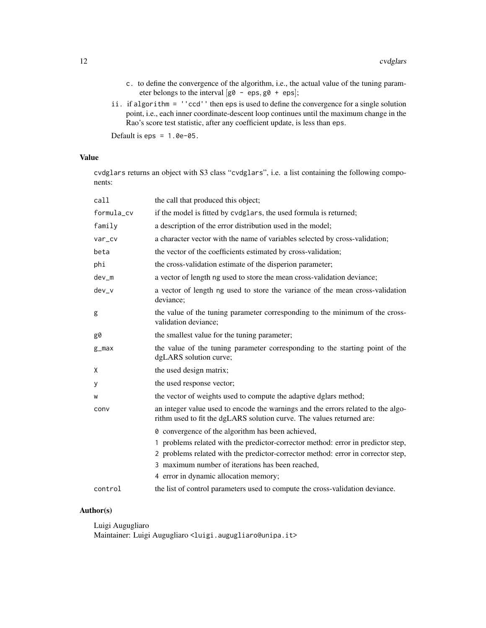- c. to define the convergence of the algorithm, i.e., the actual value of the tuning parameter belongs to the interval  $[g0 - eps, g0 + eps]$ ;
- ii. if algorithm = ''ccd'' then eps is used to define the convergence for a single solution point, i.e., each inner coordinate-descent loop continues until the maximum change in the Rao's score test statistic, after any coefficient update, is less than eps.

Default is  $eps = 1.0e-05$ .

# Value

cvdglars returns an object with S3 class "cvdglars", i.e. a list containing the following components:

| call       | the call that produced this object;                                                                                                                       |
|------------|-----------------------------------------------------------------------------------------------------------------------------------------------------------|
| formula cv | if the model is fitted by cvdglars, the used formula is returned;                                                                                         |
| family     | a description of the error distribution used in the model;                                                                                                |
| var_cv     | a character vector with the name of variables selected by cross-validation;                                                                               |
| beta       | the vector of the coefficients estimated by cross-validation;                                                                                             |
| phi        | the cross-validation estimate of the disperion parameter;                                                                                                 |
| $dev_m$    | a vector of length ng used to store the mean cross-validation deviance;                                                                                   |
| $dev_v$    | a vector of length ng used to store the variance of the mean cross-validation<br>deviance;                                                                |
| g          | the value of the tuning parameter corresponding to the minimum of the cross-<br>validation deviance;                                                      |
| g0         | the smallest value for the tuning parameter;                                                                                                              |
| $g_{max}$  | the value of the tuning parameter corresponding to the starting point of the<br>dgLARS solution curve;                                                    |
| X          | the used design matrix;                                                                                                                                   |
| у          | the used response vector;                                                                                                                                 |
| W          | the vector of weights used to compute the adaptive dglars method;                                                                                         |
| conv       | an integer value used to encode the warnings and the errors related to the algo-<br>rithm used to fit the dgLARS solution curve. The values returned are: |
|            | <b><math>\theta</math></b> convergence of the algorithm has been achieved,                                                                                |
|            | 1 problems related with the predictor-corrector method: error in predictor step,                                                                          |
|            | 2 problems related with the predictor-corrector method: error in corrector step,                                                                          |
|            | 3 maximum number of iterations has been reached,                                                                                                          |
|            | 4 error in dynamic allocation memory;                                                                                                                     |
| control    | the list of control parameters used to compute the cross-validation deviance.                                                                             |

# Author(s)

Luigi Augugliaro

Maintainer: Luigi Augugliaro <luigi.augugliaro@unipa.it>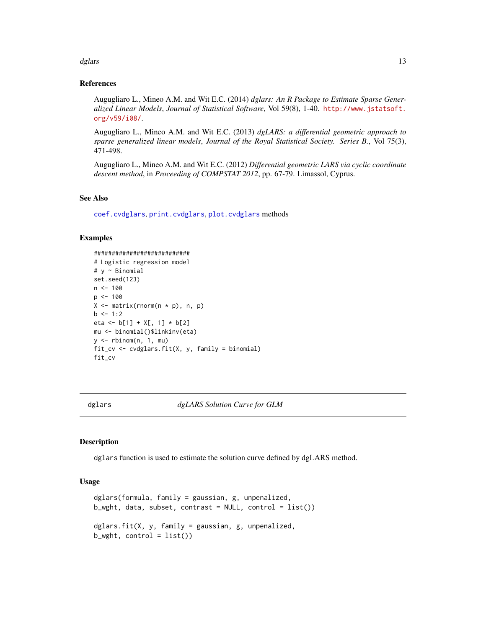#### <span id="page-12-0"></span>dglars and the contract of the contract of the contract of the contract of the contract of the contract of the contract of the contract of the contract of the contract of the contract of the contract of the contract of the

#### References

Augugliaro L., Mineo A.M. and Wit E.C. (2014) *dglars: An R Package to Estimate Sparse Generalized Linear Models*, *Journal of Statistical Software*, Vol 59(8), 1-40. [http://www.jstatsoft.](http://www.jstatsoft.org/v59/i08/) [org/v59/i08/](http://www.jstatsoft.org/v59/i08/).

Augugliaro L., Mineo A.M. and Wit E.C. (2013) *dgLARS: a differential geometric approach to sparse generalized linear models*, *Journal of the Royal Statistical Society. Series B.*, Vol 75(3), 471-498.

Augugliaro L., Mineo A.M. and Wit E.C. (2012) *Differential geometric LARS via cyclic coordinate descent method*, in *Proceeding of COMPSTAT 2012*, pp. 67-79. Limassol, Cyprus.

#### See Also

[coef.cvdglars](#page-6-1), [print.cvdglars](#page-26-1), [plot.cvdglars](#page-22-1) methods

#### Examples

```
###########################
# Logistic regression model
# y ~ Binomial
set.seed(123)
n < - 100p <- 100
X \leq - matrix(rnorm(n * p), n, p)
b \le -1:2eta <- b[1] + X[, 1] * b[2]
mu <- binomial()$linkinv(eta)
y \le - rbinom(n, 1, mu)fit_cv <- cvdglars.fit(X, y, family = binomial)
fit_cv
```
<span id="page-12-1"></span>

dglars *dgLARS Solution Curve for GLM*

#### **Description**

dglars function is used to estimate the solution curve defined by dgLARS method.

#### Usage

```
dglars(formula, family = gaussian, g, unpenalized,
b_wght, data, subset, contrast = NULL, control = list()dglars.fit(X, y, family = gaussian, g, unpenalized,
b_wght, control = list())
```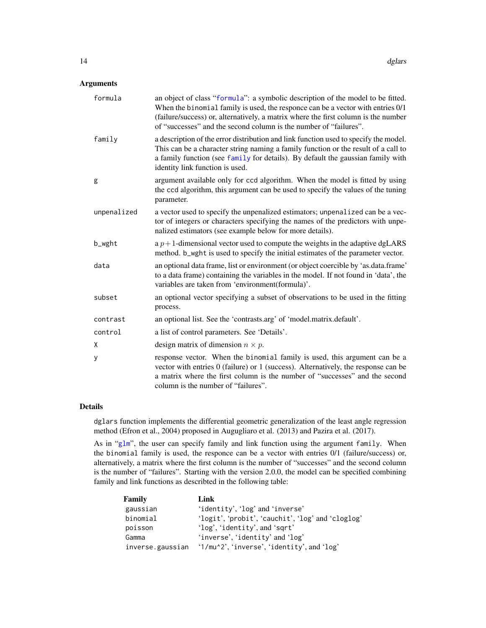# <span id="page-13-0"></span>Arguments

| formula     | an object of class "formula": a symbolic description of the model to be fitted.<br>When the binomial family is used, the responce can be a vector with entries 0/1<br>(failure/success) or, alternatively, a matrix where the first column is the number<br>of "successes" and the second column is the number of "failures". |
|-------------|-------------------------------------------------------------------------------------------------------------------------------------------------------------------------------------------------------------------------------------------------------------------------------------------------------------------------------|
| family      | a description of the error distribution and link function used to specify the model.<br>This can be a character string naming a family function or the result of a call to<br>a family function (see family for details). By default the gaussian family with<br>identity link function is used.                              |
| g           | argument available only for ccd algorithm. When the model is fitted by using<br>the ccd algorithm, this argument can be used to specify the values of the tuning<br>parameter.                                                                                                                                                |
| unpenalized | a vector used to specify the unpenalized estimators; unpenalized can be a vec-<br>tor of integers or characters specifying the names of the predictors with unpe-<br>nalized estimators (see example below for more details).                                                                                                 |
| b_wght      | a $p+1$ -dimensional vector used to compute the weights in the adaptive dgLARS<br>method. b_wght is used to specify the initial estimates of the parameter vector.                                                                                                                                                            |
| data        | an optional data frame, list or environment (or object coercible by 'as.data.frame'<br>to a data frame) containing the variables in the model. If not found in 'data', the<br>variables are taken from 'environment(formula)'.                                                                                                |
| subset      | an optional vector specifying a subset of observations to be used in the fitting<br>process.                                                                                                                                                                                                                                  |
| contrast    | an optional list. See the 'contrasts.arg' of 'model.matrix.default'.                                                                                                                                                                                                                                                          |
| control     | a list of control parameters. See 'Details'.                                                                                                                                                                                                                                                                                  |
| X           | design matrix of dimension $n \times p$ .                                                                                                                                                                                                                                                                                     |
| У           | response vector. When the binomial family is used, this argument can be a<br>vector with entries $0$ (failure) or $1$ (success). Alternatively, the response can be<br>a matrix where the first column is the number of "successes" and the second<br>column is the number of "failures".                                     |

# Details

dglars function implements the differential geometric generalization of the least angle regression method (Efron et al., 2004) proposed in Augugliaro et al. (2013) and Pazira et al. (2017).

As in "[glm](#page-0-0)", the user can specify family and link function using the argument family. When the binomial family is used, the responce can be a vector with entries 0/1 (failure/success) or, alternatively, a matrix where the first column is the number of "successes" and the second column is the number of "failures". Starting with the version 2.0.0, the model can be specified combining family and link functions as describted in the following table:

| Family           | Link                                              |
|------------------|---------------------------------------------------|
| gaussian         | 'identity', 'log' and 'inverse'                   |
| binomial         | 'logit', 'probit', 'cauchit', 'log' and 'cloglog' |
| poisson          | 'log', 'identity', and 'sqrt'                     |
| Gamma            | 'inverse', 'identity' and 'log'                   |
| inverse.gaussian | '1/mu^2', 'inverse', 'identity', and 'log'        |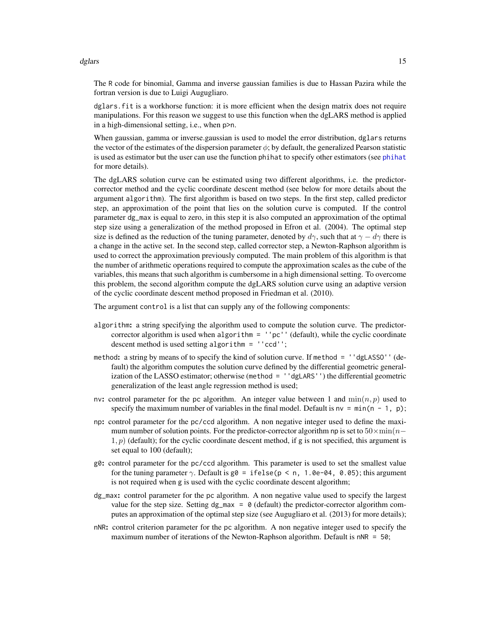#### <span id="page-14-0"></span>dglars and the contract of the contract of the contract of the contract of the contract of the contract of the contract of the contract of the contract of the contract of the contract of the contract of the contract of the

The R code for binomial, Gamma and inverse gaussian families is due to Hassan Pazira while the fortran version is due to Luigi Augugliaro.

dglars.fit is a workhorse function: it is more efficient when the design matrix does not require manipulations. For this reason we suggest to use this function when the dgLARS method is applied in a high-dimensional setting, i.e., when p>n.

When gaussian, gamma or inverse.gaussian is used to model the error distribution, dglars returns the vector of the estimates of the dispersion parameter  $\phi$ ; by default, the generalized Pearson statistic is used as estimator but the user can use the function phihat to specify other estimators (see [phihat](#page-21-1) for more details).

The dgLARS solution curve can be estimated using two different algorithms, i.e. the predictorcorrector method and the cyclic coordinate descent method (see below for more details about the argument algorithm). The first algorithm is based on two steps. In the first step, called predictor step, an approximation of the point that lies on the solution curve is computed. If the control parameter dg\_max is equal to zero, in this step it is also computed an approximation of the optimal step size using a generalization of the method proposed in Efron et al. (2004). The optimal step size is defined as the reduction of the tuning parameter, denoted by  $d<sub>\gamma</sub>$ , such that at  $\gamma - d\gamma$  there is a change in the active set. In the second step, called corrector step, a Newton-Raphson algorithm is used to correct the approximation previously computed. The main problem of this algorithm is that the number of arithmetic operations required to compute the approximation scales as the cube of the variables, this means that such algorithm is cumbersome in a high dimensional setting. To overcome this problem, the second algorithm compute the dgLARS solution curve using an adaptive version of the cyclic coordinate descent method proposed in Friedman et al. (2010).

The argument control is a list that can supply any of the following components:

- algorithm: a string specifying the algorithm used to compute the solution curve. The predictorcorrector algorithm is used when algorithm = ''pc'' (default), while the cyclic coordinate descent method is used setting algorithm = ''ccd'';
- method: a string by means of to specify the kind of solution curve. If method = ''dgLASSO'' (default) the algorithm computes the solution curve defined by the differential geometric generalization of the LASSO estimator; otherwise (method = ''dgLARS'') the differential geometric generalization of the least angle regression method is used;
- nv: control parameter for the pc algorithm. An integer value between 1 and  $\min(n, p)$  used to specify the maximum number of variables in the final model. Default is  $nv = min(n - 1, p)$ ;
- np: control parameter for the pc/ccd algorithm. A non negative integer used to define the maximum number of solution points. For the predictor-corrector algorithm np is set to  $50 \times \min(n-\epsilon)$  $1, p$ ) (default); for the cyclic coordinate descent method, if g is not specified, this argument is set equal to 100 (default);
- g0: control parameter for the pc/ccd algorithm. This parameter is used to set the smallest value for the tuning parameter  $\gamma$ . Default is g0 = ifelse(p < n, 1.0e-04, 0.05); this argument is not required when g is used with the cyclic coordinate descent algorithm;
- dg\_max: control parameter for the pc algorithm. A non negative value used to specify the largest value for the step size. Setting  $dg_{max} = 0$  (default) the predictor-corrector algorithm computes an approximation of the optimal step size (see Augugliaro et al. (2013) for more details);
- nNR: control criterion parameter for the pc algorithm. A non negative integer used to specify the maximum number of iterations of the Newton-Raphson algorithm. Default is nNR = 50;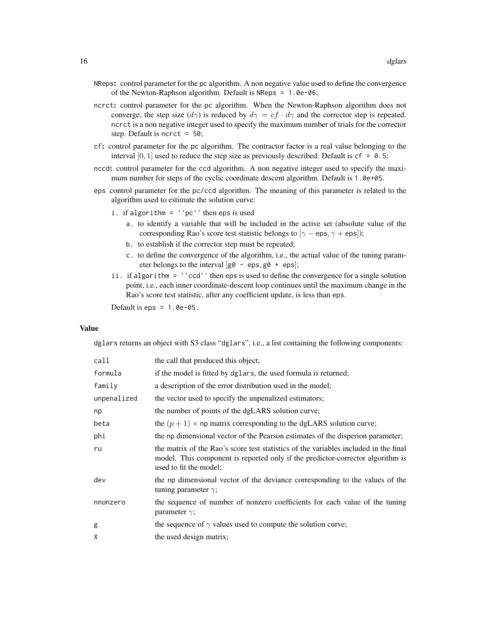- NReps: control parameter for the pc algorithm. A non negative value used to define the convergence of the Newton-Raphson algorithm. Default is NReps = 1.0e-06;
- ncrct: control parameter for the pc algorithm. When the Newton-Raphson algorithm does not converge, the step size  $(d\gamma)$  is reduced by  $d\gamma = cf \cdot d\gamma$  and the corrector step is repeated. ncrct is a non negative integer used to specify the maximum number of trials for the corrector step. Default is ncrct  $= 50$ ;
- cf: control parameter for the pc algorithm. The contractor factor is a real value belonging to the interval  $[0, 1]$  used to reduce the step size as previously described. Default is  $cf = 0.5$ ;
- nccd: control parameter for the ccd algorithm. A non negative integer used to specify the maximum number for steps of the cyclic coordinate descent algorithm. Default is 1.0e+05.
- eps control parameter for the pc/ccd algorithm. The meaning of this parameter is related to the algorithm used to estimate the solution curve:
	- i. if algorithm = ''pc'' then eps is used
		- a. to identify a variable that will be included in the active set (absolute value of the corresponding Rao's score test statistic belongs to  $[\gamma - \text{eps}, \gamma + \text{eps}]$ ;
		- b. to establish if the corrector step must be repeated;
		- c. to define the convergence of the algorithm, i.e., the actual value of the tuning parameter belongs to the interval  $[g0 - \text{eps}, g0 + \text{eps}];$
	- ii. if algorithm = ''ccd'' then eps is used to define the convergence for a single solution point, i.e., each inner coordinate-descent loop continues until the maximum change in the Rao's score test statistic, after any coefficient update, is less than eps.

Default is eps =  $1.0e-05$ .

#### Value

dglars returns an object with S3 class "dglars", i.e., a list containing the following components:

| call        | the call that produced this object;                                                                                                                                                              |
|-------------|--------------------------------------------------------------------------------------------------------------------------------------------------------------------------------------------------|
| formula     | if the model is fitted by dglars, the used formula is returned;                                                                                                                                  |
| family      | a description of the error distribution used in the model;                                                                                                                                       |
| unpenalized | the vector used to specify the unpenalized estimators;                                                                                                                                           |
| np          | the number of points of the dgLARS solution curve;                                                                                                                                               |
| beta        | the $(p + 1) \times$ np matrix corresponding to the dgLARS solution curve;                                                                                                                       |
| phi         | the np dimensional vector of the Pearson estimates of the disperion parameter;                                                                                                                   |
| ru          | the matrix of the Rao's score test statistics of the variables included in the final<br>model. This component is reported only if the predictor-corrector algorithm is<br>used to fit the model; |
| dev         | the np dimensional vector of the deviance corresponding to the values of the<br>tuning parameter $\gamma$ ;                                                                                      |
| nnonzero    | the sequence of number of nonzero coefficients for each value of the tuning<br>parameter $\gamma$ ;                                                                                              |
| g           | the sequence of $\gamma$ values used to compute the solution curve;                                                                                                                              |
| χ           | the used design matrix;                                                                                                                                                                          |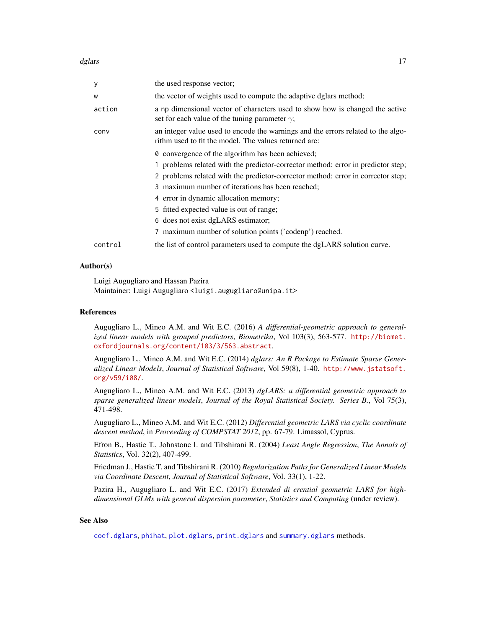#### <span id="page-16-0"></span>dglars and the contract of the contract of the contract of the contract of the contract of the contract of the contract of the contract of the contract of the contract of the contract of the contract of the contract of the

| У       | the used response vector;                                                                                                                 |
|---------|-------------------------------------------------------------------------------------------------------------------------------------------|
| W       | the vector of weights used to compute the adaptive dglars method;                                                                         |
| action  | a np dimensional vector of characters used to show how is changed the active<br>set for each value of the tuning parameter $\gamma$ ;     |
| conv    | an integer value used to encode the warnings and the errors related to the algo-<br>rithm used to fit the model. The values returned are: |
|         | 0 convergence of the algorithm has been achieved;                                                                                         |
|         | 1 problems related with the predictor-corrector method: error in predictor step;                                                          |
|         | 2 problems related with the predictor-corrector method: error in corrector step;                                                          |
|         | 3 maximum number of iterations has been reached;                                                                                          |
|         | 4 error in dynamic allocation memory;                                                                                                     |
|         | 5 fitted expected value is out of range;                                                                                                  |
|         | 6 does not exist dgLARS estimator;                                                                                                        |
|         | 7 maximum number of solution points ('codenp') reached.                                                                                   |
| control | the list of control parameters used to compute the dgLARS solution curve.                                                                 |

# Author(s)

Luigi Augugliaro and Hassan Pazira Maintainer: Luigi Augugliaro <luigi.augugliaro@unipa.it>

#### References

Augugliaro L., Mineo A.M. and Wit E.C. (2016) *A differential-geometric approach to generalized linear models with grouped predictors*, *Biometrika*, Vol 103(3), 563-577. [http://biomet.](http://biomet.oxfordjournals.org/content/103/3/563.abstract) [oxfordjournals.org/content/103/3/563.abstract](http://biomet.oxfordjournals.org/content/103/3/563.abstract).

Augugliaro L., Mineo A.M. and Wit E.C. (2014) *dglars: An R Package to Estimate Sparse Generalized Linear Models*, *Journal of Statistical Software*, Vol 59(8), 1-40. [http://www.jstatsoft.](http://www.jstatsoft.org/v59/i08/) [org/v59/i08/](http://www.jstatsoft.org/v59/i08/).

Augugliaro L., Mineo A.M. and Wit E.C. (2013) *dgLARS: a differential geometric approach to sparse generalized linear models*, *Journal of the Royal Statistical Society. Series B.*, Vol 75(3), 471-498.

Augugliaro L., Mineo A.M. and Wit E.C. (2012) *Differential geometric LARS via cyclic coordinate descent method*, in *Proceeding of COMPSTAT 2012*, pp. 67-79. Limassol, Cyprus.

Efron B., Hastie T., Johnstone I. and Tibshirani R. (2004) *Least Angle Regression*, *The Annals of Statistics*, Vol. 32(2), 407-499.

Friedman J., Hastie T. and Tibshirani R. (2010) *Regularization Paths for Generalized Linear Models via Coordinate Descent*, *Journal of Statistical Software*, Vol. 33(1), 1-22.

Pazira H., Augugliaro L. and Wit E.C. (2017) *Extended di erential geometric LARS for highdimensional GLMs with general dispersion parameter*, *Statistics and Computing* (under review).

#### See Also

[coef.dglars](#page-7-1), [phihat](#page-21-1), [plot.dglars](#page-23-1), [print.dglars](#page-28-1) and [summary.dglars](#page-29-1) methods.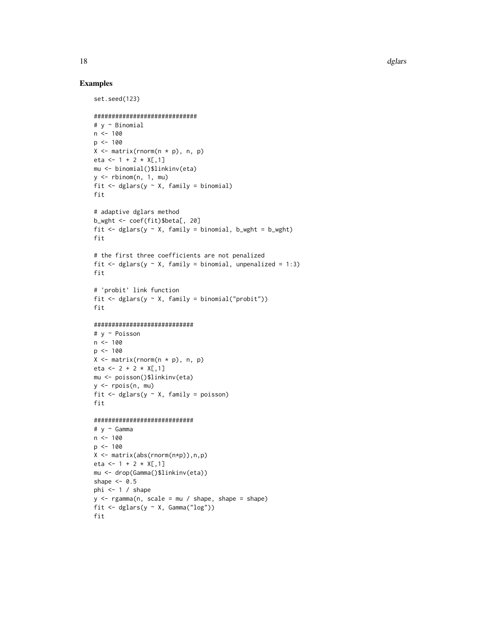#### Examples

```
set.seed(123)
#############################
# y ~ Binomial
n < -100p \le -100X \leftarrow matrix(rnorm(n * p), n, p)eta <- 1 + 2 \times X[, 1]mu <- binomial()$linkinv(eta)
y \le - rbinom(n, 1, mu)fit \leq dglars(y \sim X, family = binomial)
fit
# adaptive dglars method
b_wght <- coef(fit)$beta[, 20]
fit \leq dglars(y \sim X, family = binomial, b_wght = b_wght)
fit
# the first three coefficients are not penalized
fit \leq dglars(y \sim X, family = binomial, unpenalized = 1:3)
fit
# 'probit' link function
fit \leq dglars(y \sim X, family = binomial("probit"))
fit
############################
# y ~ Poisson
n < - 100p \le -100X \leftarrow matrix(rnorm(n * p), n, p)eta <- 2 + 2 * X[,1]mu <- poisson()$linkinv(eta)
y <- rpois(n, mu)
fit \leq dglars(y \sim X, family = poisson)
fit
############################
# y ~ Gamma
n < -100p < -100X <- matrix(abs(rnorm(n*p)),n,p)
eta <- 1 + 2 \times X[, 1]mu <- drop(Gamma()$linkinv(eta))
shape <-0.5phi <- 1 / shape
y \leq - \text{rgamma}(n, \text{ scale} = \text{mu} / \text{ shape}, \text{ shape} = \text{shape})fit \leq dglars(y \sim X, Gamma("log"))
fit
```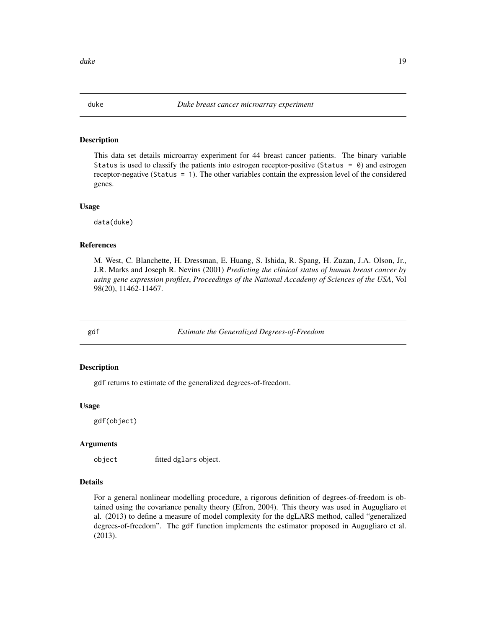<span id="page-18-0"></span>

#### Description

This data set details microarray experiment for 44 breast cancer patients. The binary variable Status is used to classify the patients into estrogen receptor-positive (Status =  $\theta$ ) and estrogen receptor-negative (Status = 1). The other variables contain the expression level of the considered genes.

#### Usage

data(duke)

#### References

M. West, C. Blanchette, H. Dressman, E. Huang, S. Ishida, R. Spang, H. Zuzan, J.A. Olson, Jr., J.R. Marks and Joseph R. Nevins (2001) *Predicting the clinical status of human breast cancer by using gene expression profiles*, *Proceedings of the National Accademy of Sciences of the USA*, Vol 98(20), 11462-11467.

<span id="page-18-1"></span>

gdf *Estimate the Generalized Degrees-of-Freedom*

#### **Description**

gdf returns to estimate of the generalized degrees-of-freedom.

#### Usage

gdf(object)

# Arguments

object fitted dglars object.

#### Details

For a general nonlinear modelling procedure, a rigorous definition of degrees-of-freedom is obtained using the covariance penalty theory (Efron, 2004). This theory was used in Augugliaro et al. (2013) to define a measure of model complexity for the dgLARS method, called "generalized degrees-of-freedom". The gdf function implements the estimator proposed in Augugliaro et al. (2013).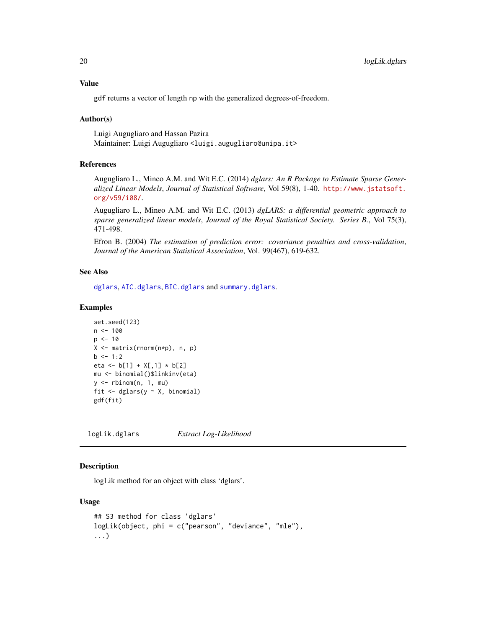# <span id="page-19-0"></span>Value

gdf returns a vector of length np with the generalized degrees-of-freedom.

### Author(s)

Luigi Augugliaro and Hassan Pazira Maintainer: Luigi Augugliaro <luigi.augugliaro@unipa.it>

# References

Augugliaro L., Mineo A.M. and Wit E.C. (2014) *dglars: An R Package to Estimate Sparse Generalized Linear Models*, *Journal of Statistical Software*, Vol 59(8), 1-40. [http://www.jstatsoft.](http://www.jstatsoft.org/v59/i08/) [org/v59/i08/](http://www.jstatsoft.org/v59/i08/).

Augugliaro L., Mineo A.M. and Wit E.C. (2013) *dgLARS: a differential geometric approach to sparse generalized linear models*, *Journal of the Royal Statistical Society. Series B.*, Vol 75(3), 471-498.

Efron B. (2004) *The estimation of prediction error: covariance penalties and cross-validation*, *Journal of the American Statistical Association*, Vol. 99(467), 619-632.

#### See Also

[dglars](#page-12-1), [AIC.dglars](#page-2-1), [BIC.dglars](#page-2-2) and [summary.dglars](#page-29-1).

#### Examples

```
set.seed(123)
n < - 100p \le -10X <- matrix(rnorm(n*p), n, p)
b \le -1:2eta <- b[1] + X[,1] * b[2]mu <- binomial()$linkinv(eta)
y \le - rbinom(n, 1, mu)fit \leq dglars(y \sim X, binomial)
gdf(fit)
```
<span id="page-19-1"></span>logLik.dglars *Extract Log-Likelihood*

# Description

logLik method for an object with class 'dglars'.

# Usage

```
## S3 method for class 'dglars'
logLik(object, phi = c("pearson", "deviance", "mle"),
...)
```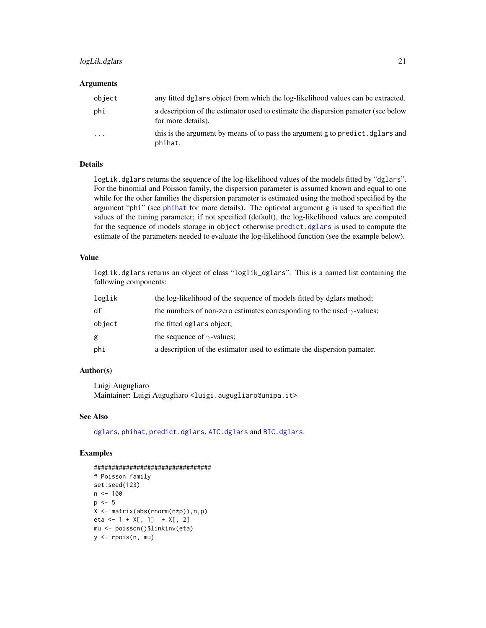# <span id="page-20-0"></span>logLik.dglars 21

#### Arguments

| object   | any fitted dglars object from which the log-likelihood values can be extracted.                         |
|----------|---------------------------------------------------------------------------------------------------------|
| phi      | a description of the estimator used to estimate the dispersion pamater (see below<br>for more details). |
| $\cdots$ | this is the argument by means of to pass the argument g to predict, dglars and<br>phihat.               |

#### Details

logLik.dglars returns the sequence of the log-likelihood values of the models fitted by "dglars". For the binomial and Poisson family, the dispersion parameter is assumed known and equal to one while for the other families the dispersion parameter is estimated using the method specified by the argument "phi" (see [phihat](#page-21-1) for more details). The optional argument g is used to specified the values of the tuning parameter; if not specified (default), the log-likelihood values are computed for the sequence of models storage in object otherwise [predict.dglars](#page-24-1) is used to compute the estimate of the parameters needed to evaluate the log-likelihood function (see the example below).

# Value

logLik.dglars returns an object of class "loglik\_dglars". This is a named list containing the following components:

| loglik | the log-likelihood of the sequence of models fitted by dglars method;         |
|--------|-------------------------------------------------------------------------------|
| df     | the numbers of non-zero estimates corresponding to the used $\gamma$ -values; |
| object | the fitted dglars object;                                                     |
| g      | the sequence of $\gamma$ -values;                                             |
| phi    | a description of the estimator used to estimate the dispersion pamater.       |

# Author(s)

Luigi Augugliaro Maintainer: Luigi Augugliaro <luigi.augugliaro@unipa.it>

# See Also

[dglars](#page-12-1), [phihat](#page-21-1), [predict.dglars](#page-24-1), [AIC.dglars](#page-2-1) and [BIC.dglars](#page-2-2).

# Examples

```
#################################
# Poisson family
set.seed(123)
n < -100p \le -5X <- matrix(abs(rnorm(n*p)),n,p)
eta <- 1 + X[, 1] + X[, 2]mu <- poisson()$linkinv(eta)
y <- rpois(n, mu)
```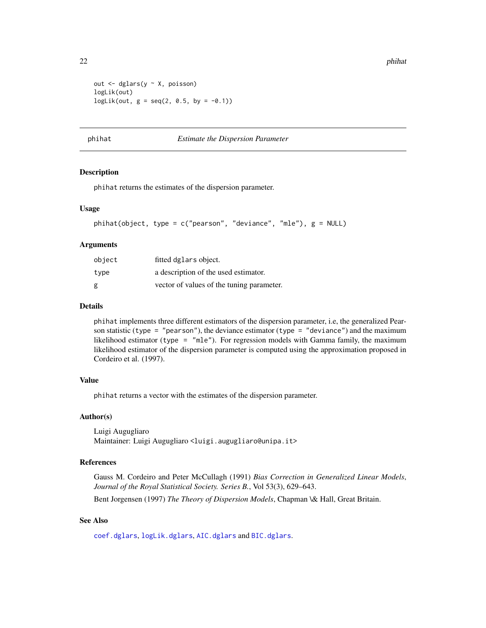```
out <- dglars(y ~ X, poisson)
logLik(out)
logLik(out, g = seq(2, 0.5, by = -0.1))
```
# <span id="page-21-1"></span>phihat *Estimate the Dispersion Parameter*

#### Description

phihat returns the estimates of the dispersion parameter.

# Usage

```
phihat(object, type = c("pearson", "deviance", "mle"), g = NULL)
```
#### Arguments

| object | fitted dglars object.                     |
|--------|-------------------------------------------|
| type   | a description of the used estimator.      |
| g      | vector of values of the tuning parameter. |

# Details

phihat implements three different estimators of the dispersion parameter, i.e, the generalized Pearson statistic (type = "pearson"), the deviance estimator (type = "deviance") and the maximum likelihood estimator (type = "mle"). For regression models with Gamma family, the maximum likelihood estimator of the dispersion parameter is computed using the approximation proposed in Cordeiro et al. (1997).

#### Value

phihat returns a vector with the estimates of the dispersion parameter.

#### Author(s)

Luigi Augugliaro Maintainer: Luigi Augugliaro <luigi.augugliaro@unipa.it>

# References

Gauss M. Cordeiro and Peter McCullagh (1991) *Bias Correction in Generalized Linear Models*, *Journal of the Royal Statistical Society. Series B.*, Vol 53(3), 629–643. Bent Jorgensen (1997) *The Theory of Dispersion Models*, Chapman \& Hall, Great Britain.

#### See Also

[coef.dglars](#page-7-1), [logLik.dglars](#page-19-1), [AIC.dglars](#page-2-1) and [BIC.dglars](#page-2-2).

<span id="page-21-0"></span>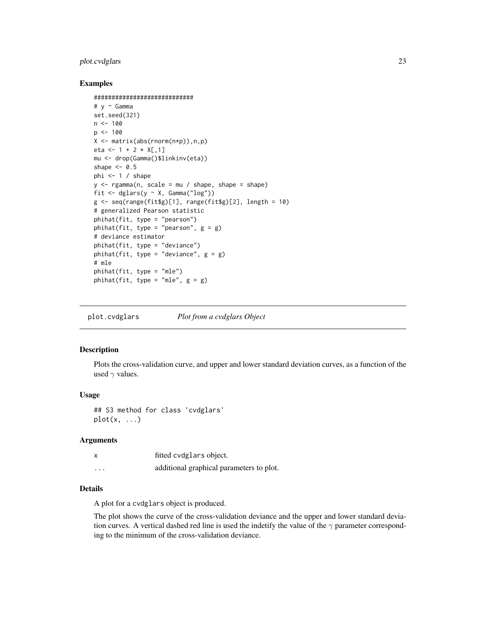# <span id="page-22-0"></span>plot.cvdglars 23

#### Examples

```
############################
# y ~ Gamma
set.seed(321)
n < -100p \le -100X <- matrix(abs(rnorm(n*p)),n,p)
eta <- 1 + 2 \times X[, 1]mu <- drop(Gamma()$linkinv(eta))
shape <-0.5phi <-1 / shape
y <- rgamma(n, scale = mu / shape, shape = shape)
fit <- dglars(y ~ X, Gamma("log"))
g \leq -\text{seq}(\text{range}(\text{fits})[1], \text{range}(\text{fits})[2], \text{length} = 10)# generalized Pearson statistic
phihat(fit, type = "pearson")
phihat(fit, type = "pearson", g = g)
# deviance estimator
phihat(fit, type = "deviance")
phihat(fit, type = "deviance", g = g)
# mle
phihat(fit, type = "mle")
phihat(fit, type = "mle", g = g)
```
<span id="page-22-1"></span>plot.cvdglars *Plot from a cvdglars Object*

#### Description

Plots the cross-validation curve, and upper and lower standard deviation curves, as a function of the used  $\gamma$  values.

#### Usage

## S3 method for class 'cvdglars'  $plot(x, \ldots)$ 

# Arguments

|          | fitted cydglars object.                  |
|----------|------------------------------------------|
| $\cdots$ | additional graphical parameters to plot. |

#### Details

A plot for a cvdglars object is produced.

The plot shows the curve of the cross-validation deviance and the upper and lower standard deviation curves. A vertical dashed red line is used the indetify the value of the  $\gamma$  parameter corresponding to the minimum of the cross-validation deviance.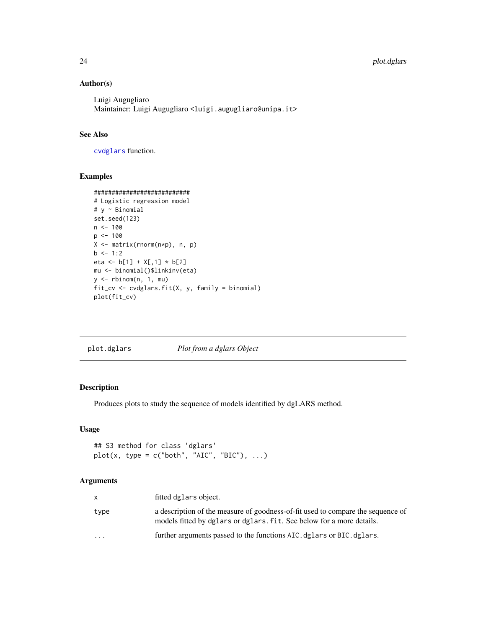# Author(s)

Luigi Augugliaro Maintainer: Luigi Augugliaro <luigi.augugliaro@unipa.it>

# See Also

[cvdglars](#page-8-1) function.

# Examples

```
###########################
# Logistic regression model
# y ~ Binomial
set.seed(123)
n < -100p <- 100
X <- matrix(rnorm(n*p), n, p)
b \le -1:2eta <- b[1] + X[,1] * b[2]
mu <- binomial()$linkinv(eta)
y <- rbinom(n, 1, mu)
fit_cv <- cvdglars.fit(X, y, family = binomial)
plot(fit_cv)
```
<span id="page-23-1"></span>plot.dglars *Plot from a dglars Object*

# Description

Produces plots to study the sequence of models identified by dgLARS method.

#### Usage

```
## S3 method for class 'dglars'
plot(x, type = c("both", "AIC", "BIC"), ...)
```
# Arguments

|                         | fitted dglars object.                                                                                                                                    |
|-------------------------|----------------------------------------------------------------------------------------------------------------------------------------------------------|
| type                    | a description of the measure of goodness-of-fit used to compare the sequence of<br>models fitted by dglars or dglars. fit. See below for a more details. |
| $\cdot$ $\cdot$ $\cdot$ | further arguments passed to the functions AIC. dglars or BIC. dglars.                                                                                    |

<span id="page-23-0"></span>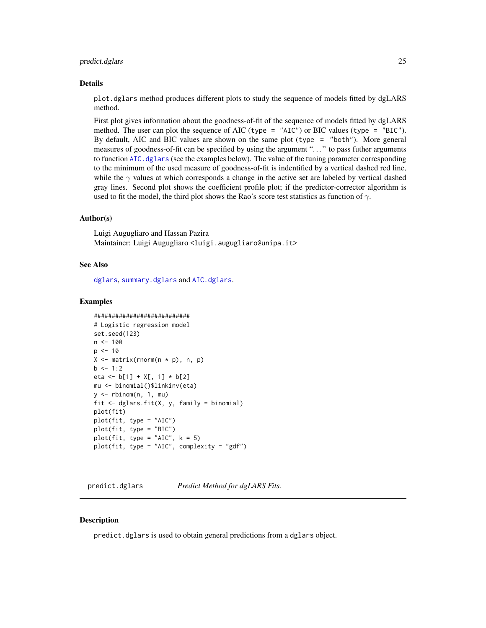#### <span id="page-24-0"></span>predict.dglars 25

#### Details

plot.dglars method produces different plots to study the sequence of models fitted by dgLARS method.

First plot gives information about the goodness-of-fit of the sequence of models fitted by dgLARS method. The user can plot the sequence of AIC (type =  $"AIC"$ ) or BIC values (type =  $"BIC"$ ). By default, AIC and BIC values are shown on the same plot (type = "both"). More general measures of goodness-of-fit can be specified by using the argument ". . . " to pass futher arguments to function [AIC.dglars](#page-2-1) (see the examples below). The value of the tuning parameter corresponding to the minimum of the used measure of goodness-of-fit is indentified by a vertical dashed red line, while the  $\gamma$  values at which corresponds a change in the active set are labeled by vertical dashed gray lines. Second plot shows the coefficient profile plot; if the predictor-corrector algorithm is used to fit the model, the third plot shows the Rao's score test statistics as function of  $\gamma$ .

#### Author(s)

Luigi Augugliaro and Hassan Pazira Maintainer: Luigi Augugliaro <luigi.augugliaro@unipa.it>

#### See Also

[dglars](#page-12-1), [summary.dglars](#page-29-1) and [AIC.dglars](#page-2-1).

#### Examples

```
###########################
# Logistic regression model
set.seed(123)
n < - 100p \le -10X \leq - matrix(rnorm(n * p), n, p)
b \le -1:2eta <- b[1] + X[, 1] * b[2]mu <- binomial()$linkinv(eta)
y \le - rbinom(n, 1, mu)fit \leq dglars.fit(X, y, family = binomial)
plot(fit)
plot(fit, type = "AIC")
plot(fit, type = "BIC")
plot(fit, type = "AIC", k = 5)plot(fit, type = "AIC", complexity = "gdf")
```
<span id="page-24-1"></span>predict.dglars *Predict Method for dgLARS Fits.*

#### **Description**

predict.dglars is used to obtain general predictions from a dglars object.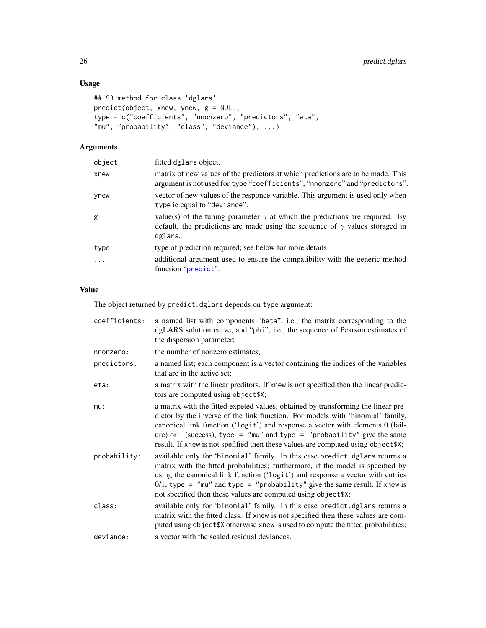# <span id="page-25-0"></span>Usage

```
## S3 method for class 'dglars'
predict(object, xnew, ynew, g = NULL,
type = c("coefficients", "nnonzero", "predictors", "eta",
"mu", "probability", "class", "deviance"), ...)
```
# Arguments

| object   | fitted dglars object.                                                                                                                                                                 |
|----------|---------------------------------------------------------------------------------------------------------------------------------------------------------------------------------------|
| xnew     | matrix of new values of the predictors at which predictions are to be made. This<br>argument is not used for type "coefficients", "nnonzero" and "predictors".                        |
| ynew     | vector of new values of the responce variable. This argument is used only when<br>type ie equal to "deviance".                                                                        |
| g        | value(s) of the tuning parameter $\gamma$ at which the predictions are required. By<br>default, the predictions are made using the sequence of $\gamma$ values storaged in<br>dglars. |
| type     | type of prediction required; see below for more details.                                                                                                                              |
| $\cdots$ | additional argument used to ensure the compatibility with the generic method<br>function "predict".                                                                                   |

# Value

The object returned by predict.dglars depends on type argument:

| coefficients: | a named list with components "beta", i.e., the matrix corresponding to the<br>dgLARS solution curve, and "phi", i.e., the sequence of Pearson estimates of<br>the dispersion parameter;                                                                                                                                                                                                                               |
|---------------|-----------------------------------------------------------------------------------------------------------------------------------------------------------------------------------------------------------------------------------------------------------------------------------------------------------------------------------------------------------------------------------------------------------------------|
| nnonzero:     | the number of nonzero estimates;                                                                                                                                                                                                                                                                                                                                                                                      |
| predictors:   | a named list; each component is a vector containing the indices of the variables<br>that are in the active set;                                                                                                                                                                                                                                                                                                       |
| eta:          | a matrix with the linear preditors. If xnew is not specified then the linear predic-<br>tors are computed using object\$X;                                                                                                                                                                                                                                                                                            |
| $mu$ :        | a matrix with the fitted expeted values, obtained by transforming the linear pre-<br>dictor by the inverse of the link function. For models with 'binomial' family,<br>canonical link function ('logit') and response a vector with elements 0 (fail-<br>ure) or 1 (success), type = "mu" and type = "probability" give the same<br>result. If xnew is not spefified then these values are computed using object \$X; |
| probability:  | available only for 'binomial' family. In this case predict.dglars returns a<br>matrix with the fitted probabilities; furthermore, if the model is specified by<br>using the canonical link function ('logit') and response a vector with entries<br>$0/1$ , type = "mu" and type = "probability" give the same result. If xnew is<br>not specified then these values are computed using object\$X;                    |
| class:        | available only for 'binomial' family. In this case predict dglars returns a<br>matrix with the fitted class. If xnew is not specified then these values are com-<br>puted using object \$X otherwise xnew is used to compute the fitted probabilities;                                                                                                                                                                |
| deviance:     | a vector with the scaled residual deviances.                                                                                                                                                                                                                                                                                                                                                                          |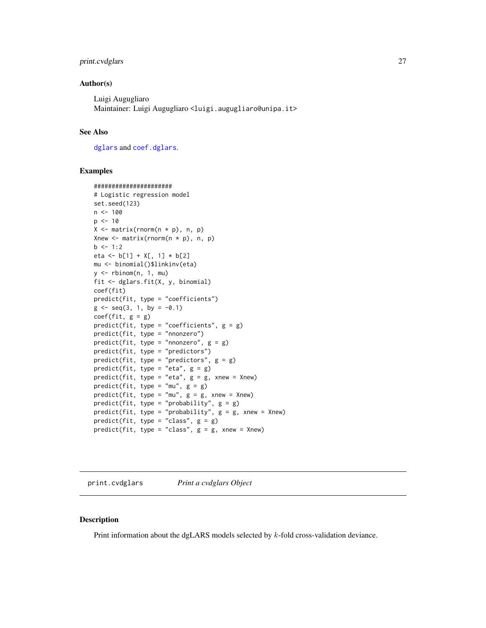# <span id="page-26-0"></span>print.cvdglars 27

#### Author(s)

Luigi Augugliaro Maintainer: Luigi Augugliaro <luigi.augugliaro@unipa.it>

#### See Also

[dglars](#page-12-1) and [coef.dglars](#page-7-1).

#### Examples

```
######################
# Logistic regression model
set.seed(123)
n < - 100p \le -10X \leftarrow matrix(rnorm(n * p), n, p)Xnew \leq matrix(rnorm(n * p), n, p)
b \le -1:2eta <- b[1] + X[, 1] * b[2]mu <- binomial()$linkinv(eta)
y \le - rbinom(n, 1, mu)fit <- dglars.fit(X, y, binomial)
coef(fit)
predict(fit, type = "coefficients")
g \le - \text{seq}(3, 1, \text{ by } = -0.1)coef(fit, g = g)predict(fit, type = "coefficients", g = g)
predict(fit, type = "nnonzero")
predict(fit, type = "nnonzero", g = g)
predict(fit, type = "predictors")
predict(fit, type = "predictors", g = g)
predict(fit, type = "eta", g = g)predict(fit, type = "eta", g = g, xnew = Xnew)predict(fit, type = "mu", g = g)predict(fit, type = "mu", g = g, xnew = Xnew)predict(fit, type = "probability", g = g)
predict(fit, type = "probability", g = g, xnew = Xnew)
predict(fit, type = "class", g = g)
predict(fit, type = "class", g = g, xnew = Xnew)
```
<span id="page-26-1"></span>print.cvdglars *Print a cvdglars Object*

# Description

Print information about the dgLARS models selected by k-fold cross-validation deviance.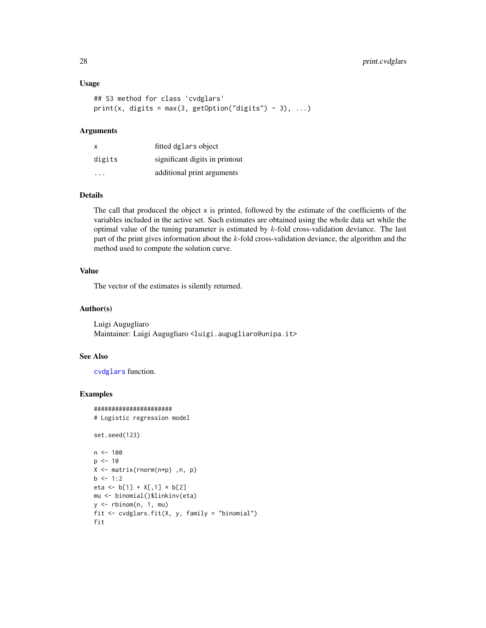```
## S3 method for class 'cvdglars'
print(x, digits = max(3, getOption("digits") - 3), ...)
```
# Arguments

| x                       | fitted dglars object           |
|-------------------------|--------------------------------|
| digits                  | significant digits in printout |
| $\cdot$ $\cdot$ $\cdot$ | additional print arguments     |

#### Details

The call that produced the object x is printed, followed by the estimate of the coefficients of the variables included in the active set. Such estimates are obtained using the whole data set while the optimal value of the tuning parameter is estimated by  $k$ -fold cross-validation deviance. The last part of the print gives information about the k-fold cross-validation deviance, the algorithm and the method used to compute the solution curve.

# Value

The vector of the estimates is silently returned.

# Author(s)

Luigi Augugliaro Maintainer: Luigi Augugliaro <luigi.augugliaro@unipa.it>

#### See Also

[cvdglars](#page-8-1) function.

#### Examples

```
######################
# Logistic regression model
set.seed(123)
n < - 100p \le -10X <- matrix(rnorm(n*p) ,n, p)
b \le -1:2eta <- b[1] + X[,1] * b[2]mu <- binomial()$linkinv(eta)
y \le - rbinom(n, 1, mu)fit <- cvdglars.fit(X, y, family = "binomial")
fit
```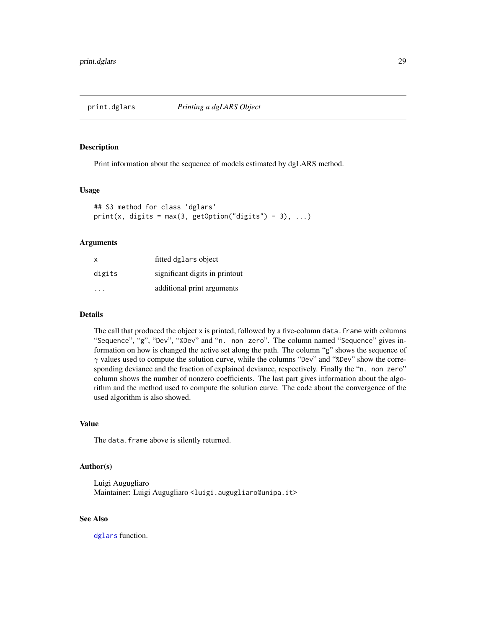<span id="page-28-1"></span><span id="page-28-0"></span>

#### Description

Print information about the sequence of models estimated by dgLARS method.

#### Usage

```
## S3 method for class 'dglars'
print(x, digits = max(3, getOption("digits") - 3), ...)
```
#### Arguments

| x                       | fitted dglars object           |
|-------------------------|--------------------------------|
| digits                  | significant digits in printout |
| $\cdot$ $\cdot$ $\cdot$ | additional print arguments     |

# Details

The call that produced the object x is printed, followed by a five-column data. frame with columns "Sequence", "g", "Dev", "%Dev" and "n. non zero". The column named "Sequence" gives information on how is changed the active set along the path. The column "g" shows the sequence of  $\gamma$  values used to compute the solution curve, while the columns "Dev" and "%Dev" show the corresponding deviance and the fraction of explained deviance, respectively. Finally the "n. non zero" column shows the number of nonzero coefficients. The last part gives information about the algorithm and the method used to compute the solution curve. The code about the convergence of the used algorithm is also showed.

# Value

The data.frame above is silently returned.

# Author(s)

Luigi Augugliaro Maintainer: Luigi Augugliaro <luigi.augugliaro@unipa.it>

#### See Also

[dglars](#page-12-1) function.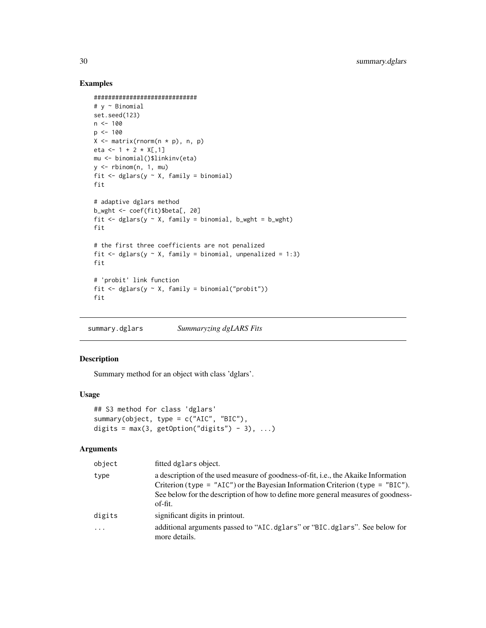# Examples

```
#############################
# y ~ Binomial
set.seed(123)
n < -100p \le -100X \leftarrow matrix(rnorm(n * p), n, p)eta <- 1 + 2 \times X[, 1]mu <- binomial()$linkinv(eta)
y \le - rbinom(n, 1, mu)
fit \leq dglars(y \sim X, family = binomial)
fit
# adaptive dglars method
b_wght <- coef(fit)$beta[, 20]
fit \leq dglars(y \sim X, family = binomial, b_wght = b_wght)
fit
# the first three coefficients are not penalized
fit \leq dglars(y \sim X, family = binomial, unpenalized = 1:3)
fit
# 'probit' link function
fit \leq dglars(y \sim X, family = binomial("probit"))
fit
```
<span id="page-29-1"></span>summary.dglars *Summaryzing dgLARS Fits*

# Description

Summary method for an object with class 'dglars'.

#### Usage

```
## S3 method for class 'dglars'
summary(object, type = c("AIC", "BIC"),
digits = max(3, getOption("digits") - 3), ...
```
# Arguments

| object   | fitted dglars object.                                                                                                                                                                                                                                                        |
|----------|------------------------------------------------------------------------------------------------------------------------------------------------------------------------------------------------------------------------------------------------------------------------------|
| type     | a description of the used measure of goodness-of-fit, <i>i.e.</i> , the Akaike Information<br>Criterion (type = "AIC") or the Bayesian Information Criterion (type = "BIC").<br>See below for the description of how to define more general measures of goodness-<br>of-fit. |
| digits   | significant digits in printout.                                                                                                                                                                                                                                              |
| $\cdots$ | additional arguments passed to "AIC.dglars" or "BIC.dglars". See below for<br>more details.                                                                                                                                                                                  |

<span id="page-29-0"></span>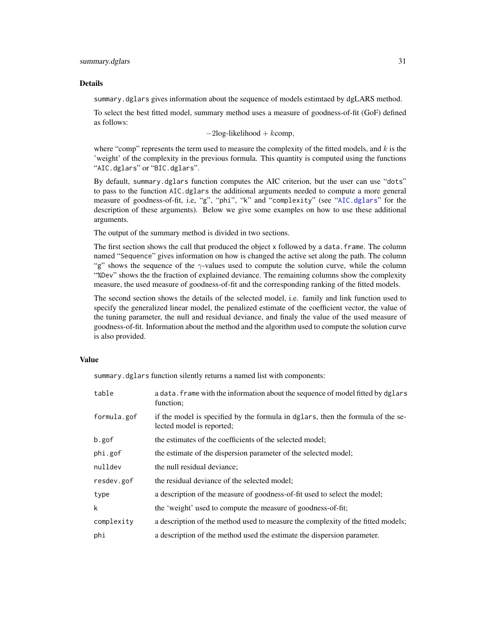#### <span id="page-30-0"></span>summary.dglars 31

#### Details

summary.dglars gives information about the sequence of models estimtaed by dgLARS method.

To select the best fitted model, summary method uses a measure of goodness-of-fit (GoF) defined as follows:

 $-2\log-1$ ikelihood + kcomp,

where "comp" represents the term used to measure the complexity of the fitted models, and  $k$  is the 'weight' of the complexity in the previous formula. This quantity is computed using the functions "AIC.dglars" or "BIC.dglars".

By default, summary.dglars function computes the AIC criterion, but the user can use "dots" to pass to the function AIC.dglars the additional arguments needed to compute a more general measure of goodness-of-fit, i.e, "g", "phi", "k" and "complexity" (see "[AIC.dglars](#page-2-1)" for the description of these arguments). Below we give some examples on how to use these additional arguments.

The output of the summary method is divided in two sections.

The first section shows the call that produced the object x followed by a data. frame. The column named "Sequence" gives information on how is changed the active set along the path. The column "g" shows the sequence of the  $\gamma$ -values used to compute the solution curve, while the column "%Dev" shows the the fraction of explained deviance. The remaining columns show the complexity measure, the used measure of goodness-of-fit and the corresponding ranking of the fitted models.

The second section shows the details of the selected model, i.e. family and link function used to specify the generalized linear model, the penalized estimate of the coefficient vector, the value of the tuning parameter, the null and residual deviance, and finaly the value of the used measure of goodness-of-fit. Information about the method and the algorithm used to compute the solution curve is also provided.

#### Value

summary.dglars function silently returns a named list with components:

| table       | a data. frame with the information about the sequence of model fitted by dglars<br>function;                 |
|-------------|--------------------------------------------------------------------------------------------------------------|
| formula.gof | if the model is specified by the formula in dglars, then the formula of the se-<br>lected model is reported; |
| b.gof       | the estimates of the coefficients of the selected model;                                                     |
| phi.gof     | the estimate of the dispersion parameter of the selected model;                                              |
| nulldev     | the null residual deviance;                                                                                  |
| resdev.gof  | the residual deviance of the selected model;                                                                 |
| type        | a description of the measure of goodness-of-fit used to select the model;                                    |
| k           | the 'weight' used to compute the measure of goodness-of-fit;                                                 |
| complexity  | a description of the method used to measure the complexity of the fitted models;                             |
| phi         | a description of the method used the estimate the dispersion parameter.                                      |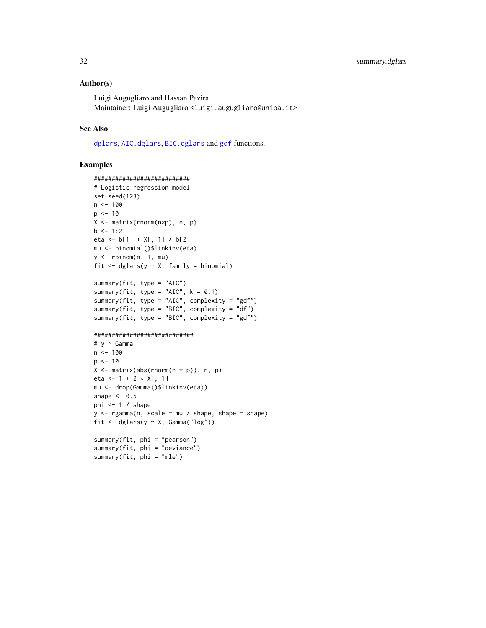# <span id="page-31-0"></span>Author(s)

Luigi Augugliaro and Hassan Pazira Maintainer: Luigi Augugliaro <luigi.augugliaro@unipa.it>

# See Also

[dglars](#page-12-1), [AIC.dglars](#page-2-1), [BIC.dglars](#page-2-2) and [gdf](#page-18-1) functions.

#### Examples

```
###########################
# Logistic regression model
set.seed(123)
n < - 100p \le -10X <- matrix(rnorm(n*p), n, p)
b \le -1:2eta <- b[1] + X[, 1] * b[2]
mu <- binomial()$linkinv(eta)
y \le - rbinom(n, 1, mu)fit \leq dglars(y \sim X, family = binomial)
summary(fit, type = "AIC")
```

```
summary(fit, type = "AIC", k = 0.1)
summary(fit, type = "AIC", complexity = "gdf")
summary(fit, type = "BIC", complexity = "df")
summary(fit, type = "BIC", complexity = "gdf")
```
#### ############################

summary(fit, phi = "mle")

```
# y ~ Gamma
n < - 100p <- 10
X \leftarrow matrix(abs(rnorm(n * p)), n, p)eta <- 1 + 2 \times X[, 1]mu <- drop(Gamma()$linkinv(eta))
shape <-0.5phi <-1 / shape
y \leq - \text{rgamma}(n, \text{scale} = mu / \text{shape}, \text{shape} = \text{shape})fit <- dglars(y ~ X, Gamma("log"))
summary(fit, phi = "pearson")
summary(fit, phi = "deviance")
```